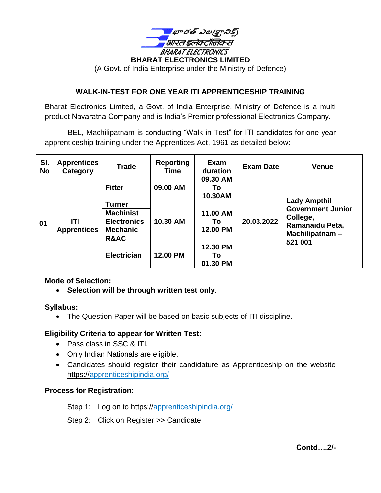

### **WALK-IN-TEST FOR ONE YEAR ITI APPRENTICESHIP TRAINING**

Bharat Electronics Limited, a Govt. of India Enterprise, Ministry of Defence is a multi product Navaratna Company and is India's Premier professional Electronics Company.

 BEL, Machilipatnam is conducting "Walk in Test" for ITI candidates for one year apprenticeship training under the Apprentices Act, 1961 as detailed below:

| SI.<br><b>No</b> | <b>Apprentices</b><br>Category | <b>Trade</b>                          | <b>Reporting</b><br>Time | Exam<br>duration           | <b>Exam Date</b> | <b>Venue</b>                                                                                                |
|------------------|--------------------------------|---------------------------------------|--------------------------|----------------------------|------------------|-------------------------------------------------------------------------------------------------------------|
| 01               | ITI<br><b>Apprentices</b>      | <b>Fitter</b>                         | 09.00 AM                 | 09.30 AM<br>Τo<br>10.30AM  | 20.03.2022       | <b>Lady Ampthil</b><br><b>Government Junior</b><br>College,<br>Ramanaidu Peta,<br>Machilipatnam-<br>521 001 |
|                  |                                | <b>Turner</b>                         | 10.30 AM                 | 11.00 AM<br>Τo<br>12.00 PM |                  |                                                                                                             |
|                  |                                | <b>Machinist</b>                      |                          |                            |                  |                                                                                                             |
|                  |                                | <b>Electronics</b><br><b>Mechanic</b> |                          |                            |                  |                                                                                                             |
|                  |                                | R&AC                                  |                          |                            |                  |                                                                                                             |
|                  |                                | <b>Electrician</b>                    | 12.00 PM                 | 12.30 PM<br>Τo<br>01.30 PM |                  |                                                                                                             |

### **Mode of Selection:**

• **Selection will be through written test only**.

#### **Syllabus:**

• The Question Paper will be based on basic subjects of ITI discipline.

#### **Eligibility Criteria to appear for Written Test:**

- Pass class in SSC & ITI.
- Only Indian Nationals are eligible.
- Candidates should register their candidature as Apprenticeship on the website https://apprenticeshipindia.org/

#### **Process for Registration:**

Step 1: Log on to https://apprenticeshipindia.org/

Step 2: Click on Register >> Candidate